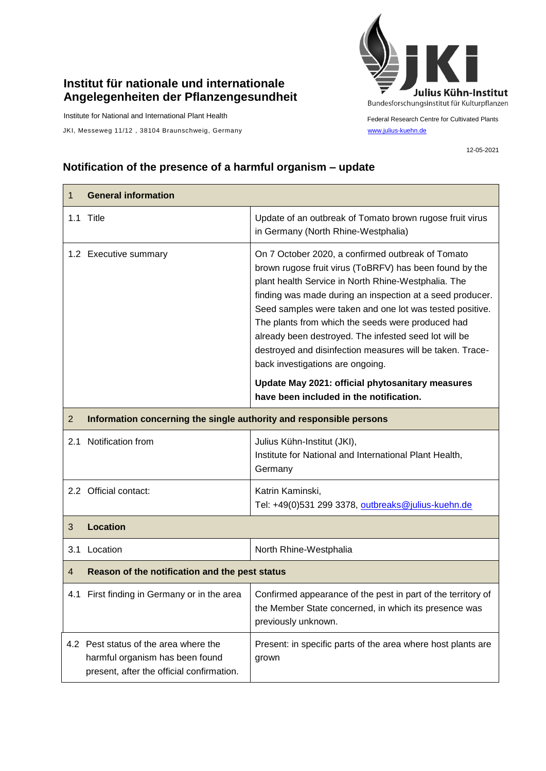## **Institut für nationale und internationale Angelegenheiten der Pflanzengesundheit**

Institute for National and International Plant Health

JKI, Messeweg 11/12, 38104 Braunschweig, Germany [www.julius-kuehn.de](http://www.julius-kuehn.de/)



Federal Research Centre for Cultivated Plants

12-05-2021

## **Notification of the presence of a harmful organism – update**

| 1              | <b>General information</b>                                                                                            |                                                                                                                                                                                                                                                                                                                                                                                                                                                                                                                                                                                                            |  |
|----------------|-----------------------------------------------------------------------------------------------------------------------|------------------------------------------------------------------------------------------------------------------------------------------------------------------------------------------------------------------------------------------------------------------------------------------------------------------------------------------------------------------------------------------------------------------------------------------------------------------------------------------------------------------------------------------------------------------------------------------------------------|--|
|                | 1.1 Title                                                                                                             | Update of an outbreak of Tomato brown rugose fruit virus<br>in Germany (North Rhine-Westphalia)                                                                                                                                                                                                                                                                                                                                                                                                                                                                                                            |  |
|                | 1.2 Executive summary                                                                                                 | On 7 October 2020, a confirmed outbreak of Tomato<br>brown rugose fruit virus (ToBRFV) has been found by the<br>plant health Service in North Rhine-Westphalia. The<br>finding was made during an inspection at a seed producer.<br>Seed samples were taken and one lot was tested positive.<br>The plants from which the seeds were produced had<br>already been destroyed. The infested seed lot will be<br>destroyed and disinfection measures will be taken. Trace-<br>back investigations are ongoing.<br>Update May 2021: official phytosanitary measures<br>have been included in the notification. |  |
| $\overline{2}$ | Information concerning the single authority and responsible persons                                                   |                                                                                                                                                                                                                                                                                                                                                                                                                                                                                                                                                                                                            |  |
| 2.1            | Notification from                                                                                                     | Julius Kühn-Institut (JKI),<br>Institute for National and International Plant Health,<br>Germany                                                                                                                                                                                                                                                                                                                                                                                                                                                                                                           |  |
|                | 2.2 Official contact:                                                                                                 | Katrin Kaminski,<br>Tel: +49(0)531 299 3378, outbreaks@julius-kuehn.de                                                                                                                                                                                                                                                                                                                                                                                                                                                                                                                                     |  |
| 3              | <b>Location</b>                                                                                                       |                                                                                                                                                                                                                                                                                                                                                                                                                                                                                                                                                                                                            |  |
| 3.1            | Location                                                                                                              | North Rhine-Westphalia                                                                                                                                                                                                                                                                                                                                                                                                                                                                                                                                                                                     |  |
| $\overline{4}$ | Reason of the notification and the pest status                                                                        |                                                                                                                                                                                                                                                                                                                                                                                                                                                                                                                                                                                                            |  |
|                | 4.1 First finding in Germany or in the area                                                                           | Confirmed appearance of the pest in part of the territory of<br>the Member State concerned, in which its presence was<br>previously unknown.                                                                                                                                                                                                                                                                                                                                                                                                                                                               |  |
|                | 4.2 Pest status of the area where the<br>harmful organism has been found<br>present, after the official confirmation. | Present: in specific parts of the area where host plants are<br>grown                                                                                                                                                                                                                                                                                                                                                                                                                                                                                                                                      |  |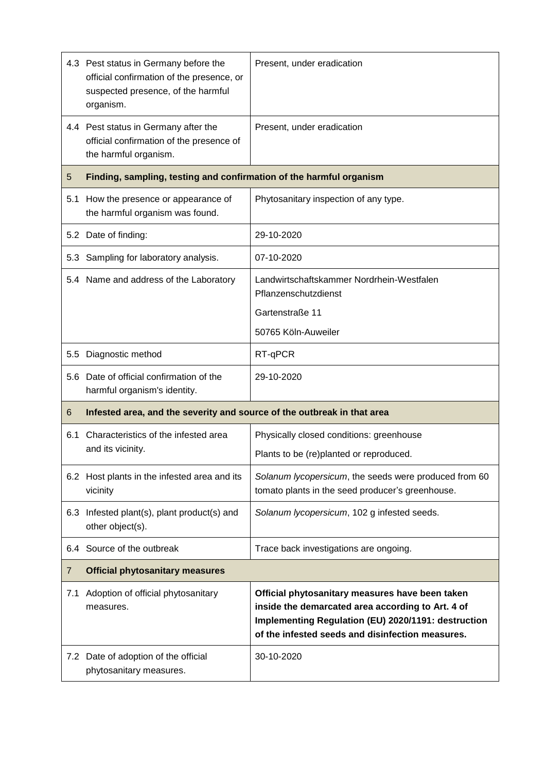|     | 4.3 Pest status in Germany before the<br>official confirmation of the presence, or<br>suspected presence, of the harmful<br>organism. | Present, under eradication                                                                                                                                                                                      |
|-----|---------------------------------------------------------------------------------------------------------------------------------------|-----------------------------------------------------------------------------------------------------------------------------------------------------------------------------------------------------------------|
|     | 4.4 Pest status in Germany after the<br>official confirmation of the presence of<br>the harmful organism.                             | Present, under eradication                                                                                                                                                                                      |
| 5   | Finding, sampling, testing and confirmation of the harmful organism                                                                   |                                                                                                                                                                                                                 |
| 5.1 | How the presence or appearance of<br>the harmful organism was found.                                                                  | Phytosanitary inspection of any type.                                                                                                                                                                           |
|     | 5.2 Date of finding:                                                                                                                  | 29-10-2020                                                                                                                                                                                                      |
| 5.3 | Sampling for laboratory analysis.                                                                                                     | 07-10-2020                                                                                                                                                                                                      |
|     | 5.4 Name and address of the Laboratory                                                                                                | Landwirtschaftskammer Nordrhein-Westfalen<br>Pflanzenschutzdienst                                                                                                                                               |
|     |                                                                                                                                       | Gartenstraße 11                                                                                                                                                                                                 |
|     |                                                                                                                                       | 50765 Köln-Auweiler                                                                                                                                                                                             |
| 5.5 | Diagnostic method                                                                                                                     | RT-qPCR                                                                                                                                                                                                         |
|     | 5.6 Date of official confirmation of the<br>harmful organism's identity.                                                              | 29-10-2020                                                                                                                                                                                                      |
| 6   | Infested area, and the severity and source of the outbreak in that area                                                               |                                                                                                                                                                                                                 |
| 6.1 | Characteristics of the infested area<br>and its vicinity.                                                                             | Physically closed conditions: greenhouse                                                                                                                                                                        |
|     |                                                                                                                                       | Plants to be (re)planted or reproduced.                                                                                                                                                                         |
|     | 6.2 Host plants in the infested area and its<br>vicinity                                                                              | Solanum lycopersicum, the seeds were produced from 60<br>tomato plants in the seed producer's greenhouse.                                                                                                       |
| 6.3 | Infested plant(s), plant product(s) and<br>other object(s).                                                                           | Solanum lycopersicum, 102 g infested seeds.                                                                                                                                                                     |
| 6.4 | Source of the outbreak                                                                                                                | Trace back investigations are ongoing.                                                                                                                                                                          |
| 7   | <b>Official phytosanitary measures</b>                                                                                                |                                                                                                                                                                                                                 |
| 7.1 | Adoption of official phytosanitary<br>measures.                                                                                       | Official phytosanitary measures have been taken<br>inside the demarcated area according to Art. 4 of<br>Implementing Regulation (EU) 2020/1191: destruction<br>of the infested seeds and disinfection measures. |
|     | 7.2 Date of adoption of the official<br>phytosanitary measures.                                                                       | 30-10-2020                                                                                                                                                                                                      |